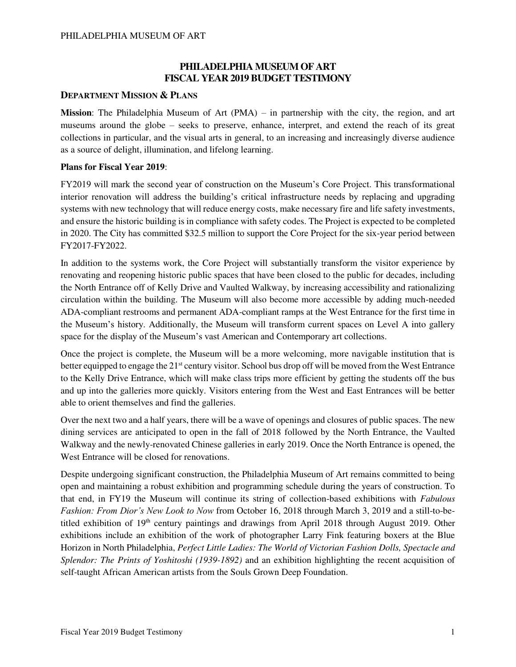# **PHILADELPHIA MUSEUM OF ART FISCAL YEAR 2019 BUDGET TESTIMONY**

### **DEPARTMENT MISSION & PLANS**

**Mission**: The Philadelphia Museum of Art (PMA) – in partnership with the city, the region, and art museums around the globe – seeks to preserve, enhance, interpret, and extend the reach of its great collections in particular, and the visual arts in general, to an increasing and increasingly diverse audience as a source of delight, illumination, and lifelong learning.

### **Plans for Fiscal Year 2019**:

FY2019 will mark the second year of construction on the Museum's Core Project. This transformational interior renovation will address the building's critical infrastructure needs by replacing and upgrading systems with new technology that will reduce energy costs, make necessary fire and life safety investments, and ensure the historic building is in compliance with safety codes. The Project is expected to be completed in 2020. The City has committed \$32.5 million to support the Core Project for the six-year period between FY2017-FY2022.

In addition to the systems work, the Core Project will substantially transform the visitor experience by renovating and reopening historic public spaces that have been closed to the public for decades, including the North Entrance off of Kelly Drive and Vaulted Walkway, by increasing accessibility and rationalizing circulation within the building. The Museum will also become more accessible by adding much-needed ADA-compliant restrooms and permanent ADA-compliant ramps at the West Entrance for the first time in the Museum's history. Additionally, the Museum will transform current spaces on Level A into gallery space for the display of the Museum's vast American and Contemporary art collections.

Once the project is complete, the Museum will be a more welcoming, more navigable institution that is better equipped to engage the 21<sup>st</sup> century visitor. School bus drop off will be moved from the West Entrance to the Kelly Drive Entrance, which will make class trips more efficient by getting the students off the bus and up into the galleries more quickly. Visitors entering from the West and East Entrances will be better able to orient themselves and find the galleries.

Over the next two and a half years, there will be a wave of openings and closures of public spaces. The new dining services are anticipated to open in the fall of 2018 followed by the North Entrance, the Vaulted Walkway and the newly-renovated Chinese galleries in early 2019. Once the North Entrance is opened, the West Entrance will be closed for renovations.

Despite undergoing significant construction, the Philadelphia Museum of Art remains committed to being open and maintaining a robust exhibition and programming schedule during the years of construction. To that end, in FY19 the Museum will continue its string of collection-based exhibitions with *Fabulous Fashion: From Dior's New Look to Now* from October 16, 2018 through March 3, 2019 and a still-to-betitled exhibition of  $19<sup>th</sup>$  century paintings and drawings from April 2018 through August 2019. Other exhibitions include an exhibition of the work of photographer Larry Fink featuring boxers at the Blue Horizon in North Philadelphia, *Perfect Little Ladies: The World of Victorian Fashion Dolls, Spectacle and Splendor: The Prints of Yoshitoshi (1939-1892)* and an exhibition highlighting the recent acquisition of self-taught African American artists from the Souls Grown Deep Foundation.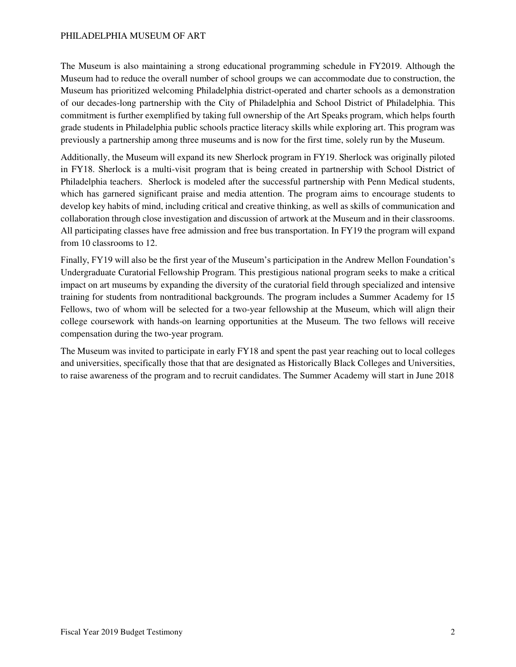The Museum is also maintaining a strong educational programming schedule in FY2019. Although the Museum had to reduce the overall number of school groups we can accommodate due to construction, the Museum has prioritized welcoming Philadelphia district-operated and charter schools as a demonstration of our decades-long partnership with the City of Philadelphia and School District of Philadelphia. This commitment is further exemplified by taking full ownership of the Art Speaks program, which helps fourth grade students in Philadelphia public schools practice literacy skills while exploring art. This program was previously a partnership among three museums and is now for the first time, solely run by the Museum.

Additionally, the Museum will expand its new Sherlock program in FY19. Sherlock was originally piloted in FY18. Sherlock is a multi-visit program that is being created in partnership with School District of Philadelphia teachers. Sherlock is modeled after the successful partnership with Penn Medical students, which has garnered significant praise and media attention. The program aims to encourage students to develop key habits of mind, including critical and creative thinking, as well as skills of communication and collaboration through close investigation and discussion of artwork at the Museum and in their classrooms. All participating classes have free admission and free bus transportation. In FY19 the program will expand from 10 classrooms to 12.

Finally, FY19 will also be the first year of the Museum's participation in the Andrew Mellon Foundation's Undergraduate Curatorial Fellowship Program. This prestigious national program seeks to make a critical impact on art museums by expanding the diversity of the curatorial field through specialized and intensive training for students from nontraditional backgrounds. The program includes a Summer Academy for 15 Fellows, two of whom will be selected for a two-year fellowship at the Museum, which will align their college coursework with hands-on learning opportunities at the Museum. The two fellows will receive compensation during the two-year program.

The Museum was invited to participate in early FY18 and spent the past year reaching out to local colleges and universities, specifically those that that are designated as Historically Black Colleges and Universities, to raise awareness of the program and to recruit candidates. The Summer Academy will start in June 2018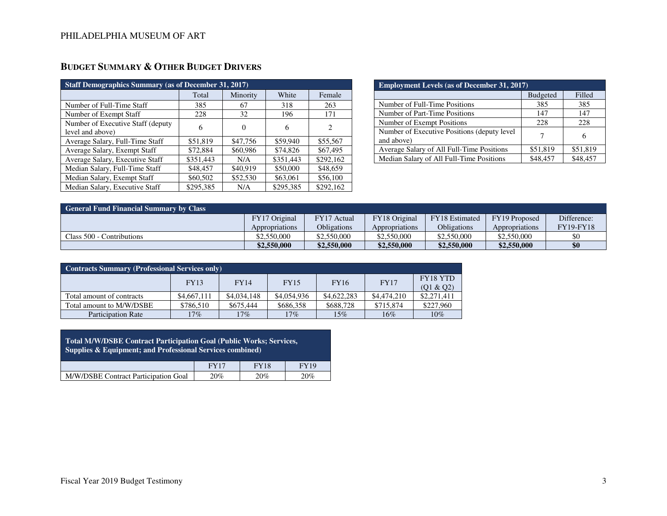| <b>Staff Demographics Summary (as of December 31, 2017)</b> |           |          |           |                             |  |  |  |  |  |
|-------------------------------------------------------------|-----------|----------|-----------|-----------------------------|--|--|--|--|--|
|                                                             | Total     | Minority | White     | Female                      |  |  |  |  |  |
| Number of Full-Time Staff                                   | 385       | 67       | 318       | 263                         |  |  |  |  |  |
| Number of Exempt Staff                                      | 228       | 32       | 196       | 171                         |  |  |  |  |  |
| Number of Executive Staff (deputy)<br>level and above)      | 6         | 0        | 6         | $\mathcal{D}_{\mathcal{L}}$ |  |  |  |  |  |
| Average Salary, Full-Time Staff                             | \$51,819  | \$47,756 | \$59,940  | \$55,567                    |  |  |  |  |  |
| Average Salary, Exempt Staff                                | \$72,884  | \$60,986 | \$74,826  | \$67,495                    |  |  |  |  |  |
| Average Salary, Executive Staff                             | \$351,443 | N/A      | \$351,443 | \$292,162                   |  |  |  |  |  |
| Median Salary, Full-Time Staff                              | \$48,457  | \$40,919 | \$50,000  | \$48,659                    |  |  |  |  |  |
| Median Salary, Exempt Staff                                 | \$60,502  | \$52,530 | \$63,061  | \$56,100                    |  |  |  |  |  |
| Median Salary, Executive Staff                              | \$295,385 | N/A      | \$295,385 | \$292,162                   |  |  |  |  |  |

| <b>Employment Levels (as of December 31, 2017)</b>         |                 |          |  |  |  |  |  |
|------------------------------------------------------------|-----------------|----------|--|--|--|--|--|
|                                                            | <b>Budgeted</b> | Filled   |  |  |  |  |  |
| Number of Full-Time Positions                              | 385             | 385      |  |  |  |  |  |
| Number of Part-Time Positions                              | 147             | 147      |  |  |  |  |  |
| Number of Exempt Positions                                 | 228             | 228      |  |  |  |  |  |
| Number of Executive Positions (deputy level)<br>and above) |                 | 6        |  |  |  |  |  |
| Average Salary of All Full-Time Positions                  | \$51,819        | \$51,819 |  |  |  |  |  |
| Median Salary of All Full-Time Positions                   | \$48,457        | \$48,457 |  |  |  |  |  |

| <b>General Fund Financial Summary by Class</b> |                |                    |                |                       |                |                  |  |  |  |
|------------------------------------------------|----------------|--------------------|----------------|-----------------------|----------------|------------------|--|--|--|
|                                                | FY17 Original  | FY17 Actual        | FY18 Original  | <b>FY18</b> Estimated | FY19 Proposed  | Difference:      |  |  |  |
|                                                | Appropriations | <b>Obligations</b> | Appropriations | Obligations           | Appropriations | <b>FY19-FY18</b> |  |  |  |
| Class 500 - Contributions                      | \$2,550,000    | \$2,550,000        | \$2,550,000    | \$2,550,000           | \$2,550,000    | \$0              |  |  |  |
|                                                | \$2,550,000    | \$2,550,000        | \$2,550,000    | \$2,550,000           | \$2,550,000    | \$0              |  |  |  |

| <b>Contracts Summary (Professional Services only)</b> |             |             |             |             |             |                              |  |  |  |
|-------------------------------------------------------|-------------|-------------|-------------|-------------|-------------|------------------------------|--|--|--|
|                                                       | <b>FY13</b> | <b>FY14</b> | <b>FY15</b> | <b>FY16</b> | <b>FY17</b> | <b>FY18 YTD</b><br>(01 & 02) |  |  |  |
| Total amount of contracts                             | \$4,667,111 | \$4,034,148 | \$4,054,936 | \$4,622,283 | \$4,474,210 | \$2,271,411                  |  |  |  |
| Total amount to M/W/DSBE                              | \$786,510   | \$675,444   | \$686,358   | \$688.728   | \$715,874   | \$227,960                    |  |  |  |
| <b>Participation Rate</b>                             | $17\%$      | 17%         | 17%         | 15%         | $16\%$      | $10\%$                       |  |  |  |

| <b>Total M/W/DSBE Contract Participation Goal (Public Works; Services,</b><br>Supplies & Equipment; and Professional Services combined) |     |     |     |  |  |  |  |  |  |  |
|-----------------------------------------------------------------------------------------------------------------------------------------|-----|-----|-----|--|--|--|--|--|--|--|
| <b>FY18</b><br><b>FY19</b><br><b>FY17</b>                                                                                               |     |     |     |  |  |  |  |  |  |  |
| M/W/DSBE Contract Participation Goal                                                                                                    | 20% | 20% | 20% |  |  |  |  |  |  |  |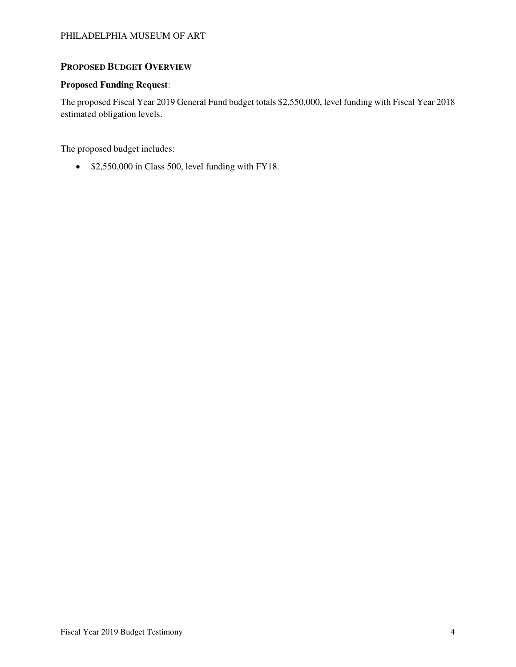## **PROPOSED BUDGET OVERVIEW**

#### **Proposed Funding Request**:

The proposed Fiscal Year 2019 General Fund budget totals \$2,550,000, level funding with Fiscal Year 2018 estimated obligation levels.

The proposed budget includes:

• \$2,550,000 in Class 500, level funding with FY18.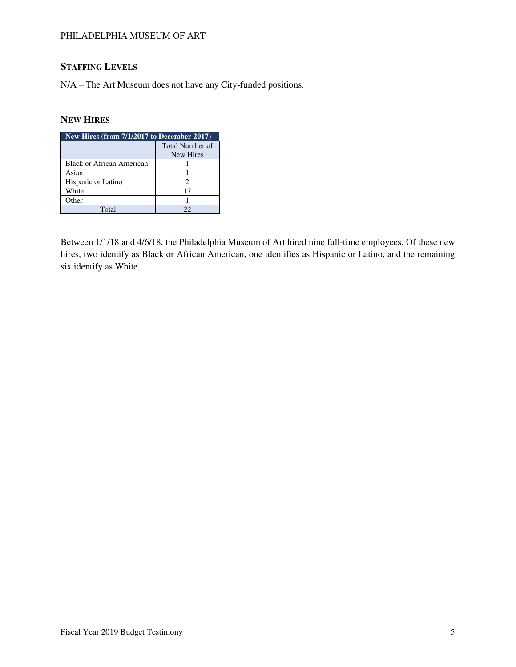# **STAFFING LEVELS**

N/A – The Art Museum does not have any City-funded positions.

# **NEW HIRES**

| New Hires (from 7/1/2017 to December 2017) |                              |  |  |  |  |  |
|--------------------------------------------|------------------------------|--|--|--|--|--|
|                                            | Total Number of<br>New Hires |  |  |  |  |  |
| <b>Black or African American</b>           |                              |  |  |  |  |  |
| Asian                                      |                              |  |  |  |  |  |
| Hispanic or Latino                         |                              |  |  |  |  |  |
| White                                      | 17                           |  |  |  |  |  |
| Other                                      |                              |  |  |  |  |  |
| Total                                      | フフ                           |  |  |  |  |  |

Between 1/1/18 and 4/6/18, the Philadelphia Museum of Art hired nine full-time employees. Of these new hires, two identify as Black or African American, one identifies as Hispanic or Latino, and the remaining six identify as White.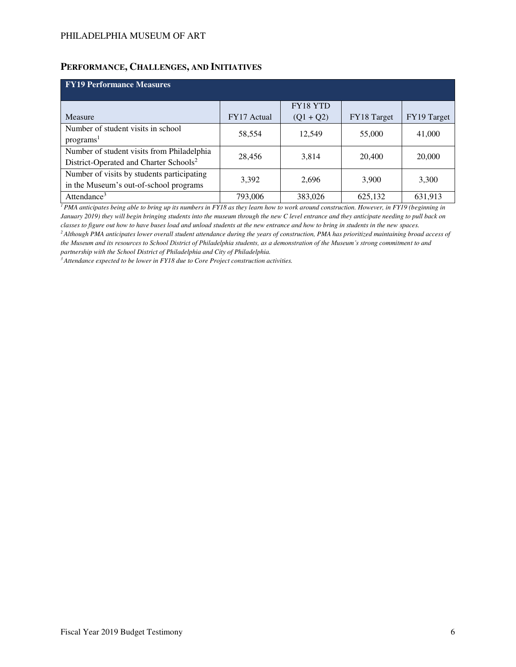### **PERFORMANCE, CHALLENGES, AND INITIATIVES**

| <b>FY19 Performance Measures</b>                   |             |             |             |             |  |  |  |  |  |  |
|----------------------------------------------------|-------------|-------------|-------------|-------------|--|--|--|--|--|--|
|                                                    |             | FY18 YTD    |             |             |  |  |  |  |  |  |
| Measure                                            | FY17 Actual | $(Q1 + Q2)$ | FY18 Target | FY19 Target |  |  |  |  |  |  |
| Number of student visits in school                 | 58,554      | 12,549      | 55,000      | 41,000      |  |  |  |  |  |  |
| programs <sup>1</sup>                              |             |             |             |             |  |  |  |  |  |  |
| Number of student visits from Philadelphia         | 28,456      | 3,814       | 20,400      | 20,000      |  |  |  |  |  |  |
| District-Operated and Charter Schools <sup>2</sup> |             |             |             |             |  |  |  |  |  |  |
| Number of visits by students participating         | 3,392       | 2,696       | 3,900       | 3,300       |  |  |  |  |  |  |
| in the Museum's out-of-school programs             |             |             |             |             |  |  |  |  |  |  |
| Attendance <sup>3</sup>                            | 793,006     | 383,026     | 625,132     | 631,913     |  |  |  |  |  |  |

<sup>*1</sup>PMA anticipates being able to bring up its numbers in FY18 as they learn how to work around construction. However, in FY19 (beginning in*</sup> *January 2019) they will begin bringing students into the museum through the new C level entrance and they anticipate needing to pull back on classes to figure out how to have buses load and unload students at the new entrance and how to bring in students in the new spaces. <sup>2</sup>Although PMA anticipates lower overall student attendance during the years of construction, PMA has prioritized maintaining broad access of the Museum and its resources to School District of Philadelphia students, as a demonstration of the Museum's strong commitment to and* 

*partnership with the School District of Philadelphia and City of Philadelphia.* 

*3 Attendance expected to be lower in FY18 due to Core Project construction activities.*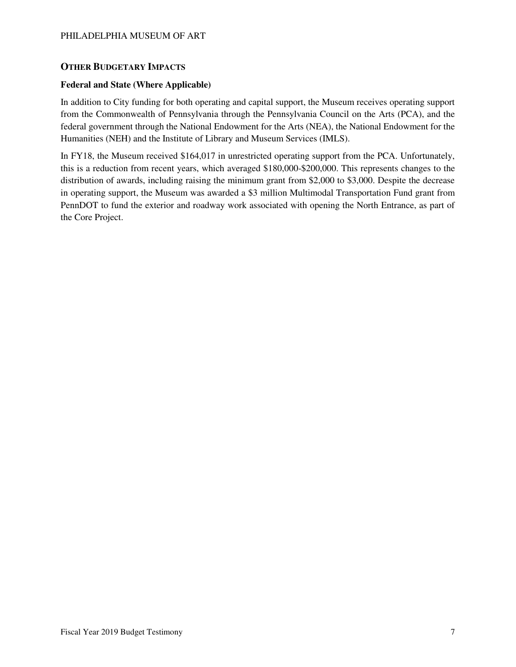### **OTHER BUDGETARY IMPACTS**

### **Federal and State (Where Applicable)**

In addition to City funding for both operating and capital support, the Museum receives operating support from the Commonwealth of Pennsylvania through the Pennsylvania Council on the Arts (PCA), and the federal government through the National Endowment for the Arts (NEA), the National Endowment for the Humanities (NEH) and the Institute of Library and Museum Services (IMLS).

In FY18, the Museum received \$164,017 in unrestricted operating support from the PCA. Unfortunately, this is a reduction from recent years, which averaged \$180,000-\$200,000. This represents changes to the distribution of awards, including raising the minimum grant from \$2,000 to \$3,000. Despite the decrease in operating support, the Museum was awarded a \$3 million Multimodal Transportation Fund grant from PennDOT to fund the exterior and roadway work associated with opening the North Entrance, as part of the Core Project.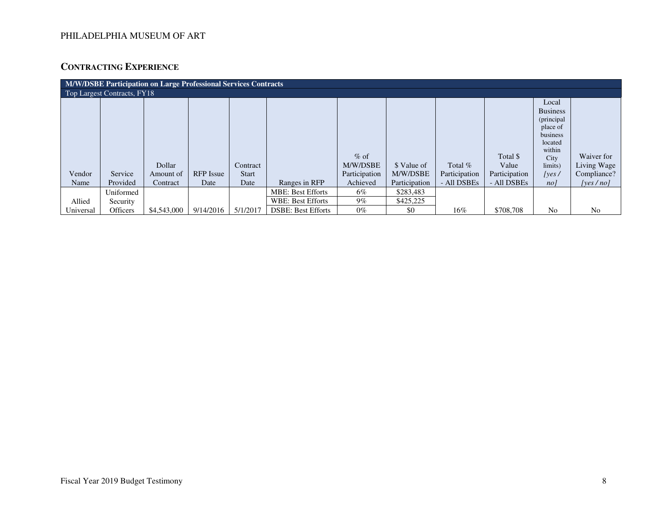# **CONTRACTING EXPERIENCE**

| <b>M/W/DSBE Participation on Large Professional Services Contracts</b> |           |             |                  |              |                           |                    |               |               |                   |                                                                                                        |                           |
|------------------------------------------------------------------------|-----------|-------------|------------------|--------------|---------------------------|--------------------|---------------|---------------|-------------------|--------------------------------------------------------------------------------------------------------|---------------------------|
| Top Largest Contracts, FY18                                            |           |             |                  |              |                           |                    |               |               |                   |                                                                                                        |                           |
|                                                                        |           | Dollar      |                  | Contract     |                           | $%$ of<br>M/W/DSBE | \$ Value of   | Total $%$     | Total \$<br>Value | Local<br><b>Business</b><br>(principal<br>place of<br>business<br>located<br>within<br>City<br>limits) | Waiver for<br>Living Wage |
| Vendor                                                                 | Service   | Amount of   | <b>RFP</b> Issue | <b>Start</b> |                           | Participation      | M/W/DSBE      | Participation | Participation     | [yes/                                                                                                  | Compliance?               |
| Name                                                                   | Provided  | Contract    | Date             | Date         | Ranges in RFP             | Achieved           | Participation | - All DSBEs   | - All DSBEs       | no <sub>l</sub>                                                                                        | [ves/no]                  |
|                                                                        | Uniformed |             |                  |              | <b>MBE: Best Efforts</b>  | 6%                 | \$283,483     |               |                   |                                                                                                        |                           |
| Allied                                                                 | Security  |             |                  |              | <b>WBE: Best Efforts</b>  | $9\%$              | \$425,225     |               |                   |                                                                                                        |                           |
| Universal                                                              | Officers  | \$4,543,000 | 9/14/2016        | 5/1/2017     | <b>DSBE: Best Efforts</b> | $0\%$              | \$0           | 16%           | \$708,708         | No                                                                                                     | N <sub>0</sub>            |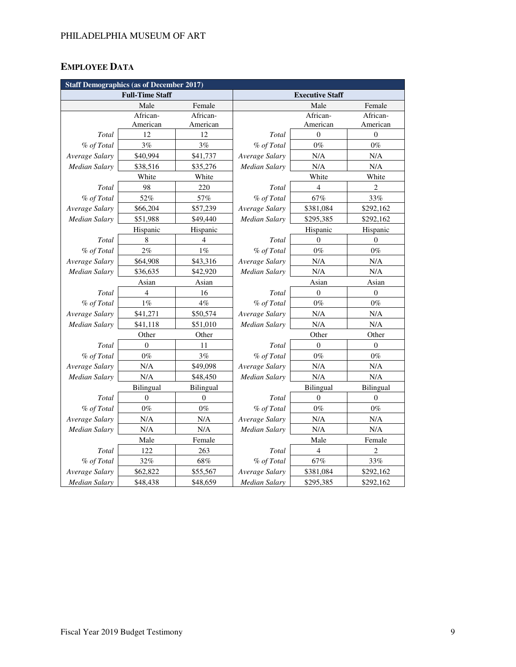# **EMPLOYEE DATA**

| <b>Staff Demographics (as of December 2017)</b> |                        |                |                      |                        |                  |  |  |  |
|-------------------------------------------------|------------------------|----------------|----------------------|------------------------|------------------|--|--|--|
|                                                 | <b>Full-Time Staff</b> |                |                      | <b>Executive Staff</b> |                  |  |  |  |
|                                                 | Male                   | Female         |                      | Male                   | Female           |  |  |  |
|                                                 | African-               | African-       |                      | African-               | African-         |  |  |  |
|                                                 | American               | American       |                      | American               | American         |  |  |  |
| Total                                           | 12                     | 12             | Total                | $\theta$               | $\mathbf{0}$     |  |  |  |
| % of Total                                      | 3%                     | 3%             | % of Total           | $0\%$                  | $0\%$            |  |  |  |
| Average Salary                                  | \$40,994               | \$41,737       | Average Salary       | N/A                    | N/A              |  |  |  |
| <b>Median Salary</b>                            | \$38,516               | \$35,276       | Median Salary        | N/A                    | N/A              |  |  |  |
|                                                 | White                  | White          |                      | White                  | White            |  |  |  |
| Total                                           | 98                     | 220            | Total                | $\overline{4}$         | $\overline{c}$   |  |  |  |
| % of Total                                      | 52%                    | 57%            | % of Total           | 67%                    | 33%              |  |  |  |
| Average Salary                                  | \$66,204               | \$57,239       | Average Salary       | \$381,084              | \$292,162        |  |  |  |
| Median Salary                                   | \$51,988               | \$49,440       | Median Salary        | \$295,385              | \$292,162        |  |  |  |
|                                                 | Hispanic               | Hispanic       |                      | Hispanic               | Hispanic         |  |  |  |
| Total                                           | 8                      | $\overline{4}$ | Total                | $\theta$               | $\theta$         |  |  |  |
| % of Total                                      | $2\%$                  | $1\%$          | % of Total           | $0\%$                  | $0\%$            |  |  |  |
| Average Salary                                  | \$64,908               | \$43,316       | Average Salary       | N/A                    | N/A              |  |  |  |
| <b>Median Salary</b>                            | \$36,635               | \$42,920       | <b>Median Salary</b> | N/A                    | $\rm N/A$        |  |  |  |
|                                                 | Asian                  | Asian          | Asian                |                        | Asian            |  |  |  |
| Total                                           | 4                      | 16             | Total                | $\mathbf{0}$           | $\boldsymbol{0}$ |  |  |  |
| % of Total                                      | 1%                     | 4%             | % of Total           | $0\%$                  | $0\%$            |  |  |  |
| Average Salary                                  | \$41,271               | \$50,574       | Average Salary       | N/A                    | N/A              |  |  |  |
| <b>Median Salary</b>                            | \$41,118               | \$51,010       | Median Salary        | N/A                    | N/A              |  |  |  |
|                                                 | Other                  | Other          | Other<br>Other       |                        |                  |  |  |  |
| Total                                           | $\Omega$               | 11             | Total                | $\theta$               | $\theta$         |  |  |  |
| % of Total                                      | $0\%$                  | 3%             | % of Total           | $0\%$                  | $0\%$            |  |  |  |
| Average Salary                                  | N/A                    | \$49,098       | Average Salary       | N/A                    | N/A              |  |  |  |
| <b>Median Salary</b>                            | N/A                    | \$48,450       | Median Salary        | N/A                    | N/A              |  |  |  |
|                                                 | Bilingual              | Bilingual      |                      | Bilingual              | Bilingual        |  |  |  |
| Total                                           | $\overline{0}$         | $\mathbf{0}$   | Total                | $\theta$               | $\theta$         |  |  |  |
| % of Total                                      | $0\%$                  | $0\%$          | % of Total           | $0\%$                  | $0\%$            |  |  |  |
| Average Salary                                  | N/A                    | N/A            | Average Salary       | N/A                    | N/A              |  |  |  |
| <b>Median Salary</b>                            | N/A                    | N/A            | <b>Median Salary</b> | N/A                    | $\rm N/A$        |  |  |  |
|                                                 | Male                   | Female         | Male                 |                        | Female           |  |  |  |
| Total                                           | 122                    | 263            | Total                | $\overline{4}$         | 2                |  |  |  |
| % of Total                                      | 32%                    | $68\%$         | % of Total           | 67%                    | 33%              |  |  |  |
| Average Salary                                  | \$62,822               | \$55,567       | Average Salary       | \$381,084              | \$292,162        |  |  |  |
| Median Salary                                   | \$48,438               | \$48,659       | Median Salary        | \$295,385              | \$292,162        |  |  |  |